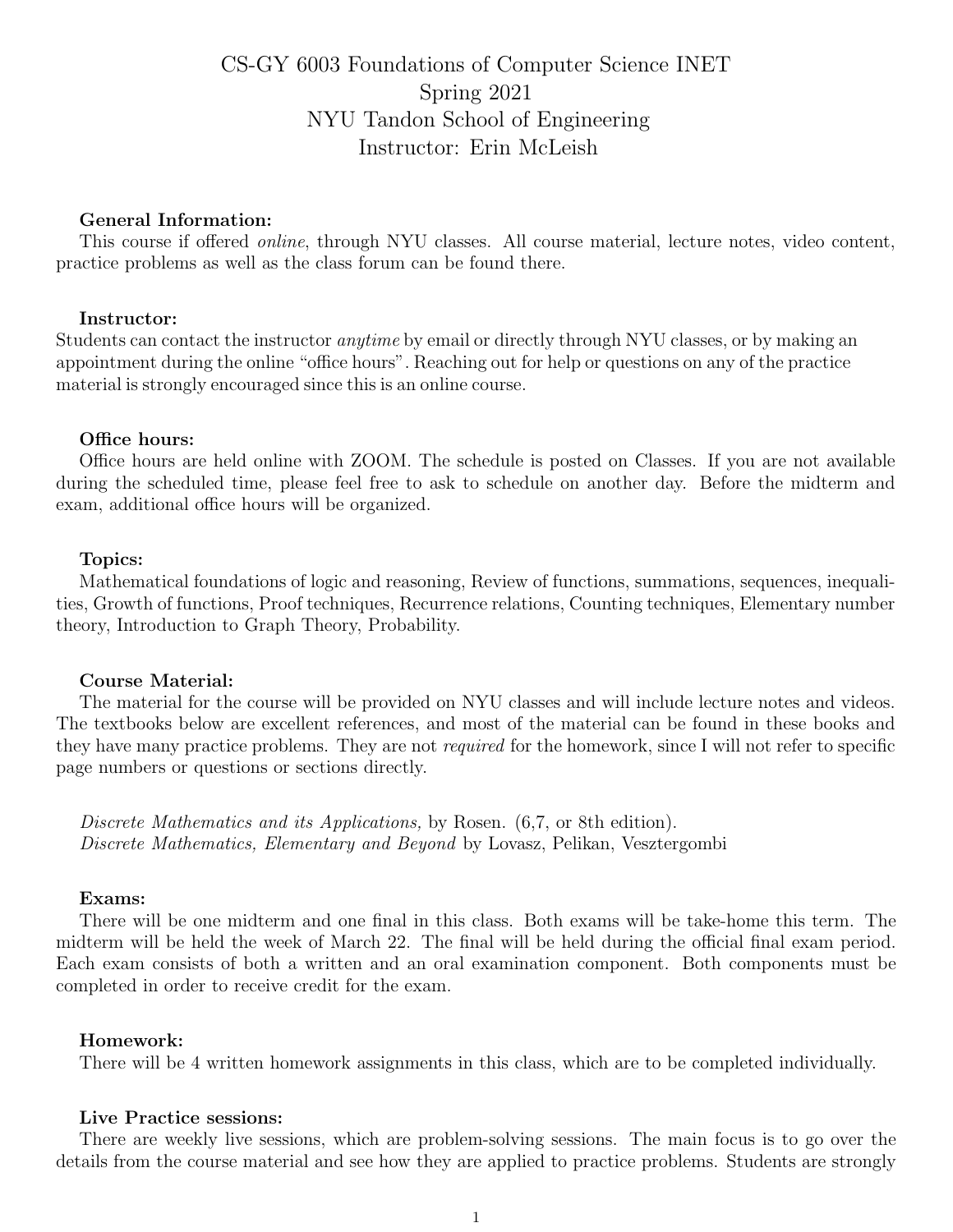# CS-GY 6003 Foundations of Computer Science INET Spring 2021 NYU Tandon School of Engineering Instructor: Erin McLeish

## General Information:

This course if offered online, through NYU classes. All course material, lecture notes, video content, practice problems as well as the class forum can be found there.

## Instructor:

Students can contact the instructor anytime by email or directly through NYU classes, or by making an appointment during the online "office hours". Reaching out for help or questions on any of the practice material is strongly encouraged since this is an online course.

#### Office hours:

Office hours are held online with ZOOM. The schedule is posted on Classes. If you are not available during the scheduled time, please feel free to ask to schedule on another day. Before the midterm and exam, additional office hours will be organized.

#### Topics:

Mathematical foundations of logic and reasoning, Review of functions, summations, sequences, inequalities, Growth of functions, Proof techniques, Recurrence relations, Counting techniques, Elementary number theory, Introduction to Graph Theory, Probability.

#### Course Material:

The material for the course will be provided on NYU classes and will include lecture notes and videos. The textbooks below are excellent references, and most of the material can be found in these books and they have many practice problems. They are not required for the homework, since I will not refer to specific page numbers or questions or sections directly.

Discrete Mathematics and its Applications, by Rosen.  $(6,7, \text{ or } 8\text{th edition}).$ Discrete Mathematics, Elementary and Beyond by Lovasz, Pelikan, Vesztergombi

#### Exams:

There will be one midterm and one final in this class. Both exams will be take-home this term. The midterm will be held the week of March 22. The final will be held during the official final exam period. Each exam consists of both a written and an oral examination component. Both components must be completed in order to receive credit for the exam.

#### Homework:

There will be 4 written homework assignments in this class, which are to be completed individually.

## Live Practice sessions:

There are weekly live sessions, which are problem-solving sessions. The main focus is to go over the details from the course material and see how they are applied to practice problems. Students are strongly